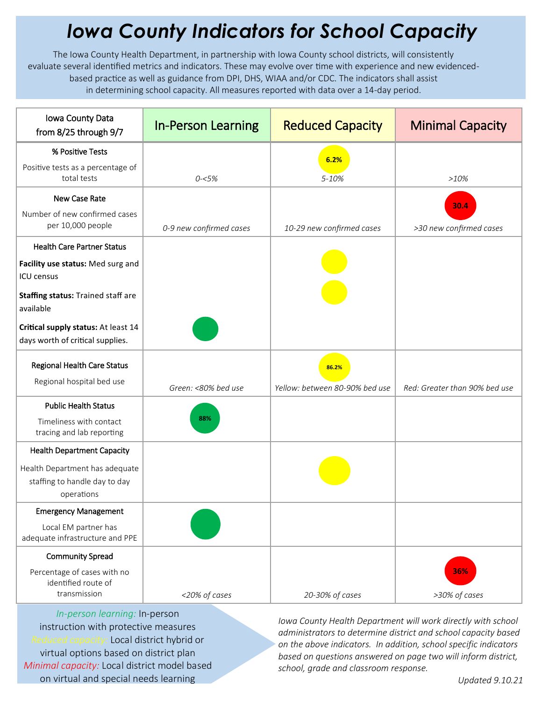## *Iowa County Indicators for School Capacity*

The Iowa County Health Department, in partnership with Iowa County school districts, will consistently evaluate several identified metrics and indicators. These may evolve over time with experience and new evidencedbased practice as well as guidance from DPI, DHS, WIAA and/or CDC. The indicators shall assist in determining school capacity. All measures reported with data over a 14-day period.

| Iowa County Data<br>from 8/25 through 9/7                                     | <b>In-Person Learning</b> | <b>Reduced Capacity</b>                 | <b>Minimal Capacity</b>       |
|-------------------------------------------------------------------------------|---------------------------|-----------------------------------------|-------------------------------|
| % Positive Tests                                                              |                           | 6.2%                                    |                               |
| Positive tests as a percentage of<br>total tests                              | $0 - 5%$                  | 5-10%                                   | >10%                          |
| New Case Rate                                                                 |                           |                                         | 30.4                          |
| Number of new confirmed cases<br>per 10,000 people                            | 0-9 new confirmed cases   | 10-29 new confirmed cases               | >30 new confirmed cases       |
| <b>Health Care Partner Status</b>                                             |                           |                                         |                               |
| Facility use status: Med surg and<br><b>ICU</b> census                        |                           |                                         |                               |
| Staffing status: Trained staff are<br>available                               |                           |                                         |                               |
| Critical supply status: At least 14<br>days worth of critical supplies.       |                           |                                         |                               |
| Regional Health Care Status<br>Regional hospital bed use                      | Green: <80% bed use       | 86.2%<br>Yellow: between 80-90% bed use | Red: Greater than 90% bed use |
| <b>Public Health Status</b>                                                   |                           |                                         |                               |
| Timeliness with contact<br>tracing and lab reporting                          | 88%                       |                                         |                               |
| <b>Health Department Capacity</b>                                             |                           |                                         |                               |
| Health Department has adequate<br>staffing to handle day to day<br>operations |                           |                                         |                               |
| <b>Emergency Management</b>                                                   |                           |                                         |                               |
| Local EM partner has<br>adequate infrastructure and PPE                       |                           |                                         |                               |
| <b>Community Spread</b>                                                       |                           |                                         |                               |
| Percentage of cases with no<br>identified route of<br>transmission            | <20% of cases             | 20-30% of cases                         | 36%<br>>30% of cases          |

*In-person learning:* In-person instruction with protective measures *Reduced capacity:* Local district hybrid or virtual options based on district plan *Minimal capacity:* Local district model based on virtual and special needs learning

*Iowa County Health Department will work directly with school administrators to determine district and school capacity based on the above indicators. In addition, school specific indicators based on questions answered on page two will inform district, school, grade and classroom response.*